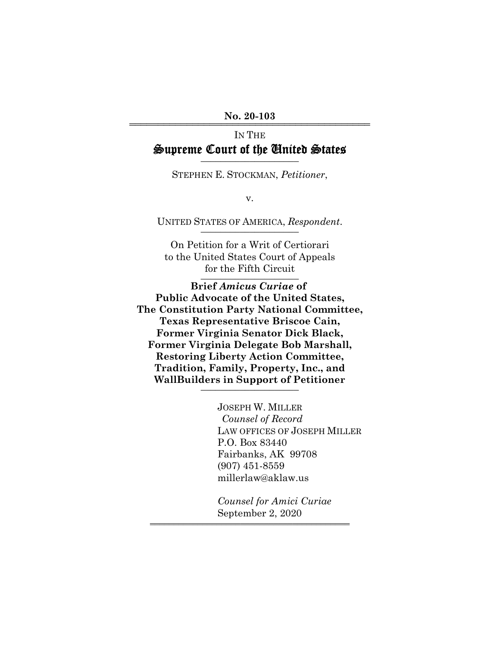No. 20-103

# IN THE Supreme Court of the United States

STEPHEN E. STOCKMAN, *Petitioner*,

v.

UNITED STATES OF AMERICA, Respondent.

On Petition for a Writ of Certiorari to the United States Court of Appeals for the Fifth Circuit

**Brief** *Amicus Curiae* **of Public Advocate of the United States, The Constitution Party National Committee, Texas Representative Briscoe Cain, Former Virginia Senator Dick Black, Former Virginia Delegate Bob Marshall, Restoring Liberty Action Committee, Tradition, Family, Property, Inc., and WallBuilders in Support of Petitioner** \_\_\_\_\_\_\_\_\_\_\_\_\_\_\_\_\_\_\_\_

> JOSEPH W. MILLER *Counsel of Record* LAW OFFICES OF JOSEPH MILLER P.O. Box 83440 Fairbanks, AK 99708 (907) 451-8559 millerlaw@aklaw.us

*Counsel for Amici Curiae* September 2, 2020

444444444444444444444444444444444444444444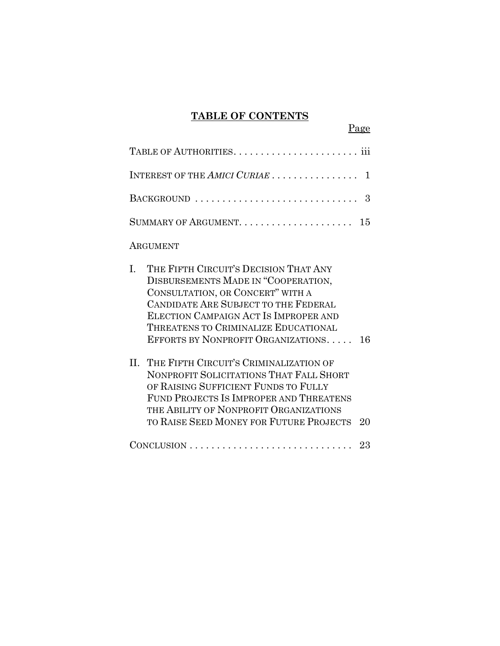### **TABLE OF CONTENTS**

Page

| INTEREST OF THE AMICI CURIAE                                                                                                                                                                                                                                                          | 1   |
|---------------------------------------------------------------------------------------------------------------------------------------------------------------------------------------------------------------------------------------------------------------------------------------|-----|
| BACKGROUND                                                                                                                                                                                                                                                                            | 3   |
|                                                                                                                                                                                                                                                                                       | 15  |
| ARGUMENT                                                                                                                                                                                                                                                                              |     |
| THE FIFTH CIRCUIT'S DECISION THAT ANY<br>L.<br>DISBURSEMENTS MADE IN "COOPERATION,<br>CONSULTATION, OR CONCERT" WITH A<br>CANDIDATE ARE SUBJECT TO THE FEDERAL<br>ELECTION CAMPAIGN ACT IS IMPROPER AND<br>THREATENS TO CRIMINALIZE EDUCATIONAL<br>EFFORTS BY NONPROFIT ORGANIZATIONS | 16  |
| II. THE FIFTH CIRCUIT'S CRIMINALIZATION OF<br>NONPROFIT SOLICITATIONS THAT FALL SHORT<br>OF RAISING SUFFICIENT FUNDS TO FULLY<br>FUND PROJECTS IS IMPROPER AND THREATENS<br>THE ABILITY OF NONPROFIT ORGANIZATIONS<br>TO RAISE SEED MONEY FOR FUTURE PROJECTS                         | 20  |
| $CONCLUSION \dots \dots \dots \dots \dots \dots \dots \dots \dots \dots \dots$                                                                                                                                                                                                        | -23 |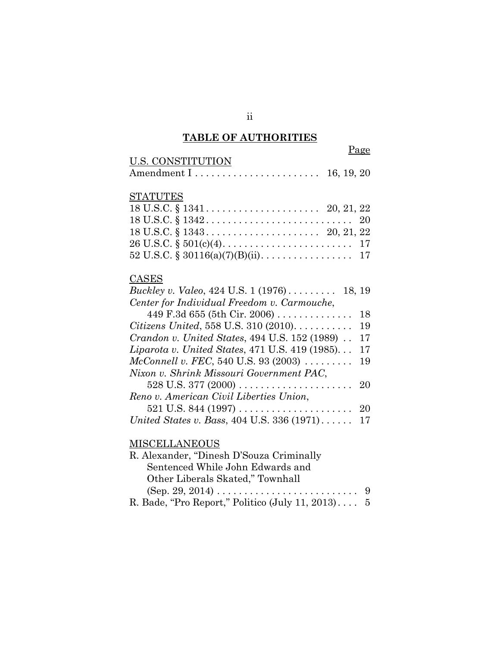# **TABLE OF AUTHORITIES**

|                   | Page |
|-------------------|------|
| U.S. CONSTITUTION |      |
|                   |      |

# **STATUTES**

| $18 \text{ U.S.C.} \$ $1342 \ldots \ldots \ldots \ldots \ldots \ldots \ldots \ldots \ldots \quad 20$ |  |
|------------------------------------------------------------------------------------------------------|--|
|                                                                                                      |  |
|                                                                                                      |  |
| 52 U.S.C. § 30116(a)(7)(B)(ii). 17                                                                   |  |

# **CASES**

| <i>Buckley v. Valeo,</i> 424 U.S. $1(1976)$ 18, 19           |     |
|--------------------------------------------------------------|-----|
| Center for Individual Freedom v. Carmouche,                  |     |
| 449 F.3d 655 (5th Cir. 2006)                                 | 18  |
| <i>Citizens United</i> , 558 U.S. 310 $(2010)$               | 19  |
| <i>Crandon v. United States, 494 U.S. 152 (1989)</i>         | 17  |
| Liparota v. United States, 471 U.S. 419 (1985)               | 17  |
| <i>McConnell v. FEC</i> , 540 U.S. 93 (2003) $\ldots \ldots$ | 19  |
| Nixon v. Shrink Missouri Government PAC,                     |     |
|                                                              |     |
| Reno v. American Civil Liberties Union,                      |     |
|                                                              | -20 |
| United States v. Bass, 404 U.S. 336 (1971) 17                |     |

### **MISCELLANEOUS**

| R. Alexander, "Dinesh D'Souza Criminally"           |  |
|-----------------------------------------------------|--|
| Sentenced While John Edwards and                    |  |
| Other Liberals Skated," Townhall                    |  |
|                                                     |  |
| R. Bade, "Pro Report," Politico (July 11, 2013) $5$ |  |

ii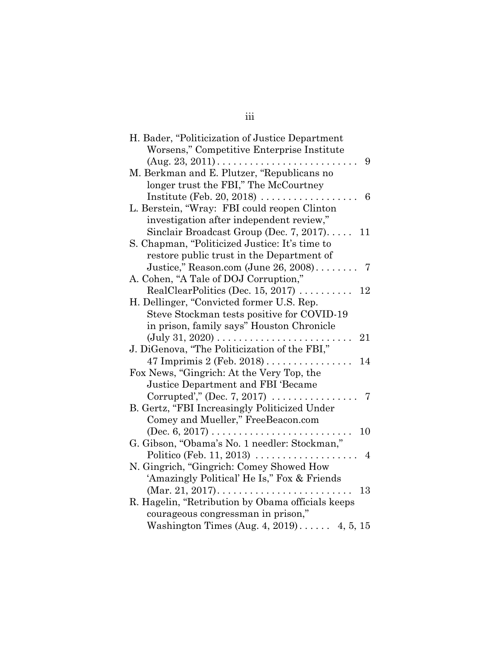| H. Bader, "Politicization of Justice Department<br>Worsens," Competitive Enterprise Institute |
|-----------------------------------------------------------------------------------------------|
| $(Aug. 23, 2011) \ldots \ldots \ldots \ldots \ldots \ldots \ldots$<br>9                       |
| M. Berkman and E. Plutzer, "Republicans no                                                    |
| longer trust the FBI," The McCourtney                                                         |
| Institute (Feb. 20, 2018) $\dots \dots \dots \dots \dots$<br>6                                |
| L. Berstein, "Wray: FBI could reopen Clinton                                                  |
| investigation after independent review,"                                                      |
| Sinclair Broadcast Group (Dec. 7, 2017)<br>11                                                 |
| S. Chapman, "Politicized Justice: It's time to                                                |
|                                                                                               |
| restore public trust in the Department of                                                     |
| Justice," Reason.com (June 26, 2008)<br>- 7                                                   |
| A. Cohen, "A Tale of DOJ Corruption,"                                                         |
| RealClearPolitics (Dec. 15, 2017) $\dots \dots$<br>12                                         |
| H. Dellinger, "Convicted former U.S. Rep.                                                     |
| Steve Stockman tests positive for COVID-19                                                    |
| in prison, family says" Houston Chronicle                                                     |
| $(\text{July } 31, 2020) \dots \dots \dots$<br>21                                             |
| J. DiGenova, "The Politicization of the FBI,"                                                 |
| 47 Imprimis 2 (Feb. 2018) $\dots \dots \dots \dots$<br>14                                     |
| Fox News, "Gingrich: At the Very Top, the                                                     |
| Justice Department and FBI 'Became                                                            |
| Corrupted'," (Dec. 7, 2017) $\ldots \ldots \ldots$<br>7                                       |
| B. Gertz, "FBI Increasingly Politicized Under                                                 |
| Comey and Mueller," FreeBeacon.com                                                            |
| 10<br>$(Dec. 6, 2017) \ldots \ldots \ldots \ldots \ldots \ldots \ldots$                       |
| G. Gibson, "Obama's No. 1 needler: Stockman,"                                                 |
| Politico (Feb. 11, 2013) $\ldots$<br>4                                                        |
| N. Gingrich, "Gingrich: Comey Showed How                                                      |
| 'Amazingly Political' He Is," Fox & Friends                                                   |
| 13                                                                                            |
| R. Hagelin, "Retribution by Obama officials keeps                                             |
| courageous congressman in prison,"                                                            |
| Washington Times (Aug. 4, 2019) 4, 5, 15                                                      |

### iii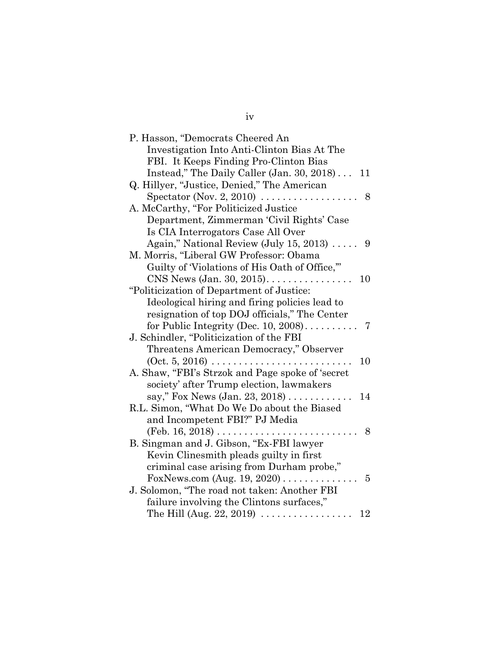| P. Hasson, "Democrats Cheered An                                        |
|-------------------------------------------------------------------------|
| Investigation Into Anti-Clinton Bias At The                             |
| FBI. It Keeps Finding Pro-Clinton Bias                                  |
| Instead," The Daily Caller (Jan. 30, 2018) 11                           |
| Q. Hillyer, "Justice, Denied," The American                             |
| Spectator (Nov. 2, 2010) $\dots \dots \dots \dots \dots$<br>8           |
| A. McCarthy, "For Politicized Justice                                   |
| Department, Zimmerman 'Civil Rights' Case                               |
| Is CIA Interrogators Case All Over                                      |
| Again," National Review (July 15, 2013) $\ldots$ . 9                    |
| M. Morris, "Liberal GW Professor: Obama                                 |
| Guilty of Violations of His Oath of Office,"                            |
| $CNS$ News (Jan. 30, 2015)<br>10<br>$\overline{a}$                      |
| "Politicization of Department of Justice:                               |
| Ideological hiring and firing policies lead to                          |
| resignation of top DOJ officials," The Center                           |
|                                                                         |
| J. Schindler, "Politicization of the FBI                                |
| Threatens American Democracy," Observer                                 |
| $(0ct. 5, 2016) \ldots \ldots \ldots \ldots \ldots$<br>10               |
| A. Shaw, "FBI's Strzok and Page spoke of 'secret                        |
| society' after Trump election, lawmakers                                |
| say," Fox News (Jan. 23, 2018)<br>14                                    |
| R.L. Simon, "What Do We Do about the Biased                             |
| and Incompetent FBI?" PJ Media                                          |
| $(Feb. 16, 2018) \ldots \ldots \ldots \ldots \ldots \ldots \ldots$<br>8 |
| B. Singman and J. Gibson, "Ex-FBI lawyer                                |
| Kevin Clinesmith pleads guilty in first                                 |
| criminal case arising from Durham probe,"                               |
| $\overline{5}$                                                          |
| J. Solomon, "The road not taken: Another FBI                            |
| failure involving the Clintons surfaces,"                               |
| The Hill (Aug. 22, 2019) $\ldots \ldots \ldots \ldots \ldots$<br>12     |

# iv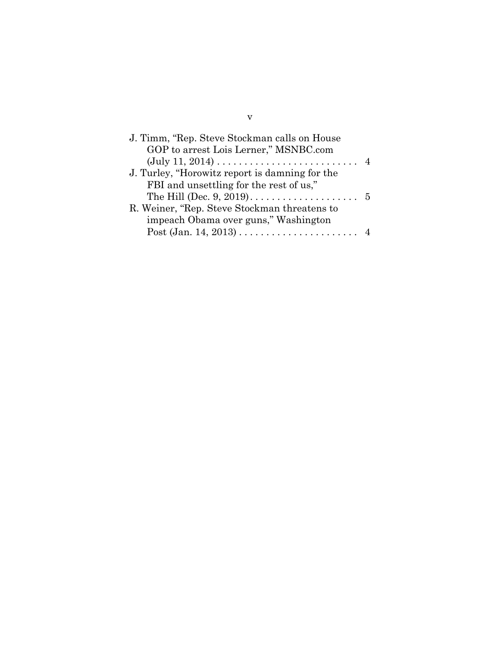| J. Timm, "Rep. Steve Stockman calls on House"<br>GOP to arrest Lois Lerner," MSNBC.com |                |
|----------------------------------------------------------------------------------------|----------------|
| $(\text{July } 11, 2014) \dots \dots \dots \dots \dots \dots \dots \dots$              | $\overline{4}$ |
| J. Turley, "Horowitz report is damning for the                                         |                |
| FBI and unsettling for the rest of us,"                                                |                |
|                                                                                        |                |
| R. Weiner, "Rep. Steve Stockman threatens to                                           |                |
| impeach Obama over guns," Washington                                                   |                |
|                                                                                        |                |
|                                                                                        |                |

v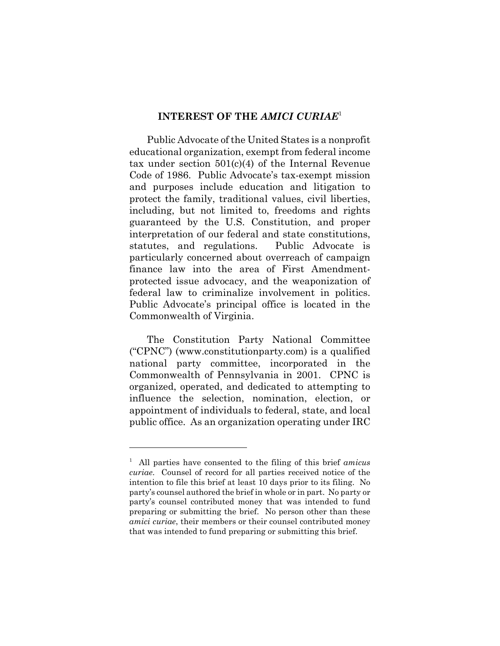#### **INTEREST OF THE** *AMICI CURIAE*<sup>1</sup>

Public Advocate of the United States is a nonprofit educational organization, exempt from federal income tax under section 501(c)(4) of the Internal Revenue Code of 1986. Public Advocate's tax-exempt mission and purposes include education and litigation to protect the family, traditional values, civil liberties, including, but not limited to, freedoms and rights guaranteed by the U.S. Constitution, and proper interpretation of our federal and state constitutions, statutes, and regulations. Public Advocate is particularly concerned about overreach of campaign finance law into the area of First Amendmentprotected issue advocacy, and the weaponization of federal law to criminalize involvement in politics. Public Advocate's principal office is located in the Commonwealth of Virginia.

The Constitution Party National Committee ("CPNC") (www.constitutionparty.com) is a qualified national party committee, incorporated in the Commonwealth of Pennsylvania in 2001. CPNC is organized, operated, and dedicated to attempting to influence the selection, nomination, election, or appointment of individuals to federal, state, and local public office. As an organization operating under IRC

<sup>1</sup> All parties have consented to the filing of this brief *amicus curiae*. Counsel of record for all parties received notice of the intention to file this brief at least 10 days prior to its filing. No party's counsel authored the brief in whole or in part. No party or party's counsel contributed money that was intended to fund preparing or submitting the brief. No person other than these *amici curiae*, their members or their counsel contributed money that was intended to fund preparing or submitting this brief.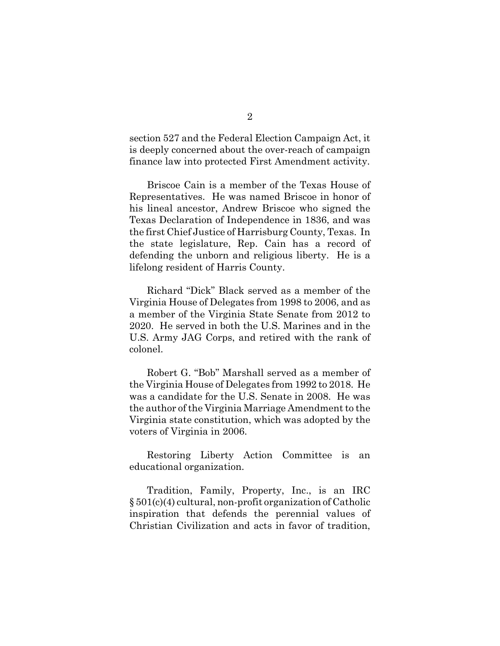section 527 and the Federal Election Campaign Act, it is deeply concerned about the over-reach of campaign finance law into protected First Amendment activity.

Briscoe Cain is a member of the Texas House of Representatives. He was named Briscoe in honor of his lineal ancestor, Andrew Briscoe who signed the Texas Declaration of Independence in 1836, and was the first Chief Justice of Harrisburg County, Texas. In the state legislature, Rep. Cain has a record of defending the unborn and religious liberty. He is a lifelong resident of Harris County.

Richard "Dick" Black served as a member of the Virginia House of Delegates from 1998 to 2006, and as a member of the Virginia State Senate from 2012 to 2020. He served in both the U.S. Marines and in the U.S. Army JAG Corps, and retired with the rank of colonel.

Robert G. "Bob" Marshall served as a member of the Virginia House of Delegates from 1992 to 2018. He was a candidate for the U.S. Senate in 2008. He was the author of the Virginia Marriage Amendment to the Virginia state constitution, which was adopted by the voters of Virginia in 2006.

Restoring Liberty Action Committee is an educational organization.

Tradition, Family, Property, Inc., is an IRC § 501(c)(4) cultural, non-profit organization of Catholic inspiration that defends the perennial values of Christian Civilization and acts in favor of tradition,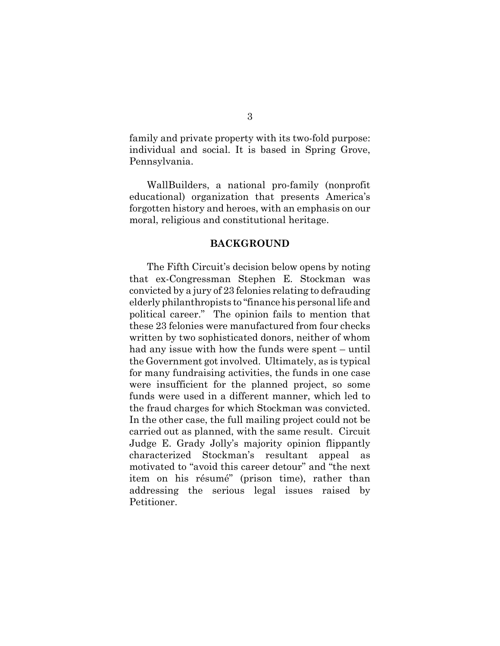family and private property with its two-fold purpose: individual and social. It is based in Spring Grove, Pennsylvania.

WallBuilders, a national pro-family (nonprofit educational) organization that presents America's forgotten history and heroes, with an emphasis on our moral, religious and constitutional heritage.

#### **BACKGROUND**

The Fifth Circuit's decision below opens by noting that ex-Congressman Stephen E. Stockman was convicted by a jury of 23 felonies relating to defrauding elderly philanthropists to "finance his personal life and political career." The opinion fails to mention that these 23 felonies were manufactured from four checks written by two sophisticated donors, neither of whom had any issue with how the funds were spent – until the Government got involved. Ultimately, as is typical for many fundraising activities, the funds in one case were insufficient for the planned project, so some funds were used in a different manner, which led to the fraud charges for which Stockman was convicted. In the other case, the full mailing project could not be carried out as planned, with the same result. Circuit Judge E. Grady Jolly's majority opinion flippantly characterized Stockman's resultant appeal as motivated to "avoid this career detour" and "the next item on his résumé" (prison time), rather than addressing the serious legal issues raised by Petitioner.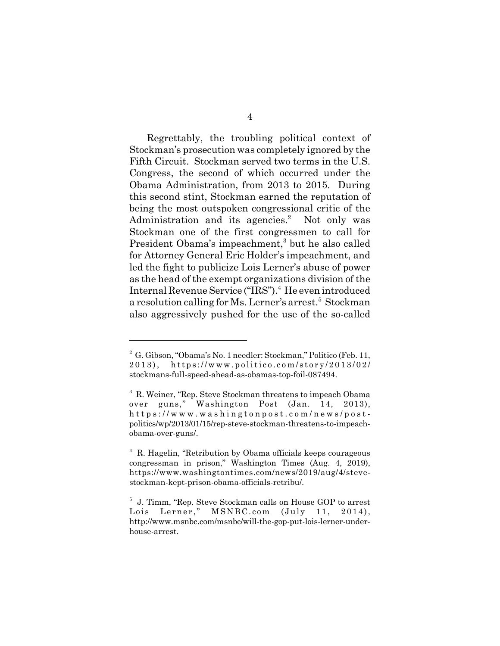Regrettably, the troubling political context of Stockman's prosecution was completely ignored by the Fifth Circuit. Stockman served two terms in the U.S. Congress, the second of which occurred under the Obama Administration, from 2013 to 2015. During this second stint, Stockman earned the reputation of being the most outspoken congressional critic of the Administration and its agencies.<sup>2</sup> Not only was Stockman one of the first congressmen to call for President Obama's impeachment,<sup>3</sup> but he also called for Attorney General Eric Holder's impeachment, and led the fight to publicize Lois Lerner's abuse of power as the head of the exempt organizations division of the Internal Revenue Service ("IRS").<sup>4</sup> He even introduced a resolution calling for Ms. Lerner's arrest.<sup>5</sup> Stockman also aggressively pushed for the use of the so-called

<sup>&</sup>lt;sup>2</sup> G. Gibson, "Obama's No. 1 needler: Stockman," Politico (Feb. 11, 2013), https://www.politico.com/story/2013/02/ stockmans-full-speed-ahead-as-obamas-top-foil-087494.

<sup>3</sup> R. Weiner, "Rep. Steve Stockman threatens to impeach Obama over guns," Washington Post (Jan. 14, 2013), https://www.washin gtonpost.com/news/postpolitics/wp/2013/01/15/rep-steve-stockman-threatens-to-impeachobama-over-guns/.

<sup>4</sup> R. Hagelin, "Retribution by Obama officials keeps courageous congressman in prison," Washington Times (Aug. 4, 2019), https://www.washingtontimes.com/news/2019/aug/4/stevestockman-kept-prison-obama-officials-retribu/.

<sup>5</sup> J. Timm, "Rep. Steve Stockman calls on House GOP to arrest Lois Lerner," MSNBC.com (July 11, 2014), http://www.msnbc.com/msnbc/will-the-gop-put-lois-lerner-underhouse-arrest.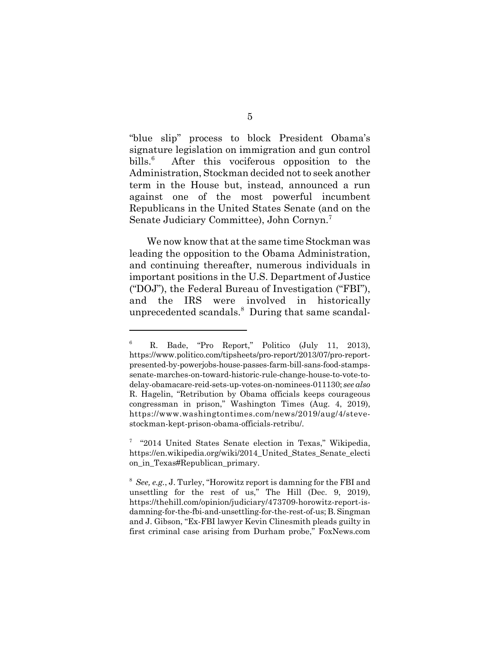"blue slip" process to block President Obama's signature legislation on immigration and gun control  $b$ ills. $6$  After this vociferous opposition to the Administration, Stockman decided not to seek another term in the House but, instead, announced a run against one of the most powerful incumbent Republicans in the United States Senate (and on the Senate Judiciary Committee), John Cornyn.7

We now know that at the same time Stockman was leading the opposition to the Obama Administration, and continuing thereafter, numerous individuals in important positions in the U.S. Department of Justice ("DOJ"), the Federal Bureau of Investigation ("FBI"), and the IRS were involved in historically unprecedented scandals.<sup>8</sup> During that same scandal-

<sup>6</sup> R. Bade, "Pro Report," Politico (July 11, 2013), https://www.politico.com/tipsheets/pro-report/2013/07/pro-reportpresented-by-powerjobs-house-passes-farm-bill-sans-food-stampssenate-marches-on-toward-historic-rule-change-house-to-vote-todelay-obamacare-reid-sets-up-votes-on-nominees-011130; *see also* R. Hagelin, "Retribution by Obama officials keeps courageous congressman in prison," Washington Times (Aug. 4, 2019), https://www.washingtontimes.com/news/2019/aug/4/stevestockman-kept-prison-obama-officials-retribu/.

<sup>&</sup>lt;sup>7</sup> "2014 United States Senate election in Texas," Wikipedia, https://en.wikipedia.org/wiki/2014\_United\_States\_Senate\_electi on in Texas#Republican primary.

<sup>8</sup> *See, e.g.*, J. Turley, "Horowitz report is damning for the FBI and unsettling for the rest of us," The Hill (Dec. 9, 2019), https://thehill.com/opinion/judiciary/473709-horowitz-report-isdamning-for-the-fbi-and-unsettling-for-the-rest-of-us; B. Singman and J. Gibson, "Ex-FBI lawyer Kevin Clinesmith pleads guilty in first criminal case arising from Durham probe," FoxNews.com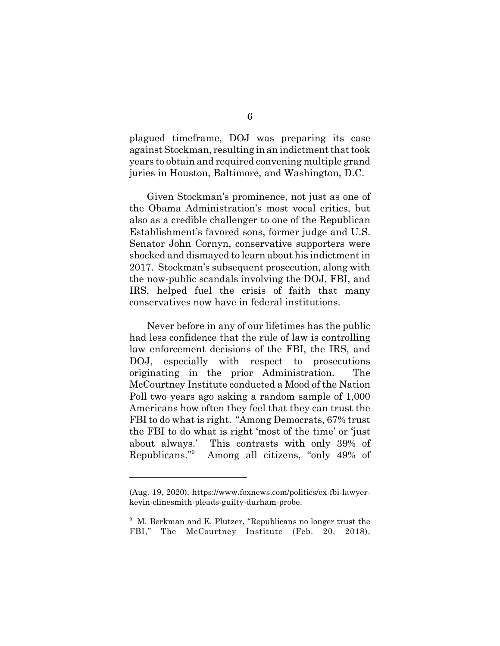plagued timeframe, DOJ was preparing its case against Stockman, resulting in an indictment that took years to obtain and required convening multiple grand juries in Houston, Baltimore, and Washington, D.C.

Given Stockman's prominence, not just as one of the Obama Administration's most vocal critics, but also as a credible challenger to one of the Republican Establishment's favored sons, former judge and U.S. Senator John Cornyn, conservative supporters were shocked and dismayed to learn about his indictment in 2017. Stockman's subsequent prosecution, along with the now-public scandals involving the DOJ, FBI, and IRS, helped fuel the crisis of faith that many conservatives now have in federal institutions.

Never before in any of our lifetimes has the public had less confidence that the rule of law is controlling law enforcement decisions of the FBI, the IRS, and DOJ, especially with respect to prosecutions originating in the prior Administration. The McCourtney Institute conducted a Mood of the Nation Poll two years ago asking a random sample of 1,000 Americans how often they feel that they can trust the FBI to do what is right. "Among Democrats, 67% trust the FBI to do what is right 'most of the time' or 'just about always.' This contrasts with only 39% of Republicans."<sup>9</sup> Among all citizens, "only 49% of

<sup>(</sup>Aug. 19, 2020), https://www.foxnews.com/politics/ex-fbi-lawyerkevin-clinesmith-pleads-guilty-durham-probe.

<sup>&</sup>lt;sup>9</sup> M. Berkman and E. Plutzer, "Republicans no longer trust the FBI," The McCourtney Institute (Feb. 20, 2018),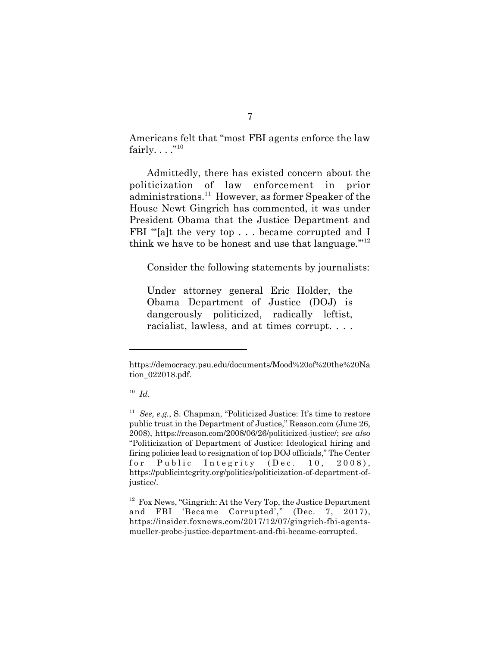Americans felt that "most FBI agents enforce the law fairly.  $\ldots$ ."<sup>10</sup>

Admittedly, there has existed concern about the politicization of law enforcement in prior administrations.11 However, as former Speaker of the House Newt Gingrich has commented, it was under President Obama that the Justice Department and FBI "'[a]t the very top . . . became corrupted and I think we have to be honest and use that language."<sup>12</sup>

Consider the following statements by journalists:

Under attorney general Eric Holder, the Obama Department of Justice (DOJ) is dangerously politicized, radically leftist, racialist, lawless, and at times corrupt. . . .

https://democracy.psu.edu/documents/Mood%20of%20the%20Na tion\_022018.pdf.

<sup>10</sup> *Id.*

<sup>&</sup>lt;sup>11</sup> *See, e.g.*, S. Chapman, "Politicized Justice: It's time to restore public trust in the Department of Justice," Reason.com (June 26, 2008), https://reason.com/2008/06/26/politicized-justice/; *see also* "Politicization of Department of Justice: Ideological hiring and firing policies lead to resignation of top DOJ officials," The Center for Public Integrity (Dec. 10, 2008), https://publicintegrity.org/politics/politicization-of-department-ofjustice/.

 $12$  Fox News, "Gingrich: At the Very Top, the Justice Department and FBI 'Became Corrupted'," (Dec. 7, 2017), https://insider.foxnews.com/2017/12/07/gingrich-fbi-agentsmueller-probe-justice-department-and-fbi-became-corrupted.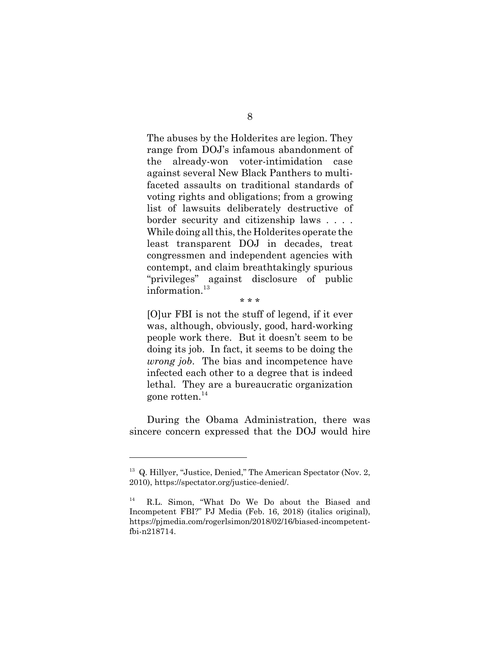The abuses by the Holderites are legion. They range from DOJ's infamous abandonment of the already-won voter-intimidation case against several New Black Panthers to multifaceted assaults on traditional standards of voting rights and obligations; from a growing list of lawsuits deliberately destructive of border security and citizenship laws . . . . While doing all this, the Holderites operate the least transparent DOJ in decades, treat congressmen and independent agencies with contempt, and claim breathtakingly spurious "privileges" against disclosure of public information.<sup>13</sup>

[O]ur FBI is not the stuff of legend, if it ever was, although, obviously, good, hard-working people work there. But it doesn't seem to be doing its job. In fact, it seems to be doing the *wrong job*. The bias and incompetence have infected each other to a degree that is indeed lethal. They are a bureaucratic organization gone rotten. $^{14}$ 

\* \* \*

During the Obama Administration, there was sincere concern expressed that the DOJ would hire

<sup>&</sup>lt;sup>13</sup> Q. Hillyer, "Justice, Denied," The American Spectator (Nov. 2, 2010), https://spectator.org/justice-denied/.

<sup>14</sup> R.L. Simon, "What Do We Do about the Biased and Incompetent FBI?" PJ Media (Feb. 16, 2018) (italics original), https://pjmedia.com/rogerlsimon/2018/02/16/biased-incompetentfbi-n218714.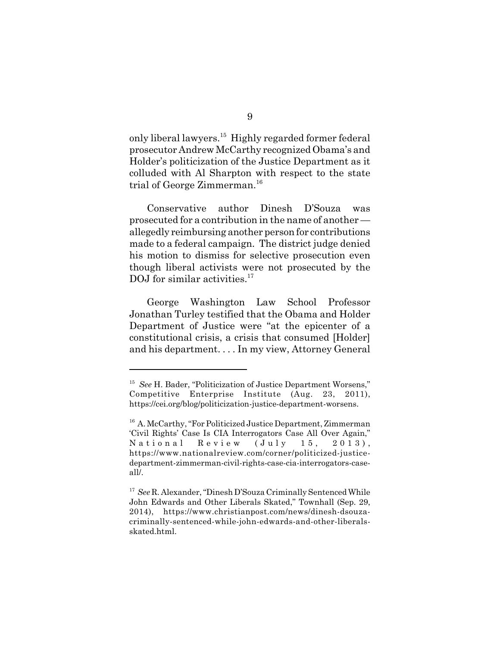only liberal lawyers.15 Highly regarded former federal prosecutor Andrew McCarthy recognized Obama's and Holder's politicization of the Justice Department as it colluded with Al Sharpton with respect to the state trial of George Zimmerman.<sup>16</sup>

Conservative author Dinesh D'Souza was prosecuted for a contribution in the name of another allegedly reimbursing another person for contributions made to a federal campaign. The district judge denied his motion to dismiss for selective prosecution even though liberal activists were not prosecuted by the DOJ for similar activities.<sup>17</sup>

George Washington Law School Professor Jonathan Turley testified that the Obama and Holder Department of Justice were "at the epicenter of a constitutional crisis, a crisis that consumed [Holder] and his department. . . . In my view, Attorney General

<sup>&</sup>lt;sup>15</sup> *See* H. Bader, "Politicization of Justice Department Worsens," Competitive Enterprise Institute (Aug. 23, 2011), https://cei.org/blog/politicization-justice-department-worsens.

<sup>&</sup>lt;sup>16</sup> A. McCarthy, "For Politicized Justice Department, Zimmerman 'Civil Rights' Case Is CIA Interrogators Case All Over Again," National Review (July 15, 2013), https://www.nationalreview.com/corner/politicized-justicedepartment-zimmerman-civil-rights-case-cia-interrogators-caseall/.

<sup>17</sup> *See* R. Alexander, "Dinesh D'Souza Criminally Sentenced While John Edwards and Other Liberals Skated," Townhall (Sep. 29, 2014), https://www.christianpost.com/news/dinesh-dsouzacriminally-sentenced-while-john-edwards-and-other-liberalsskated.html.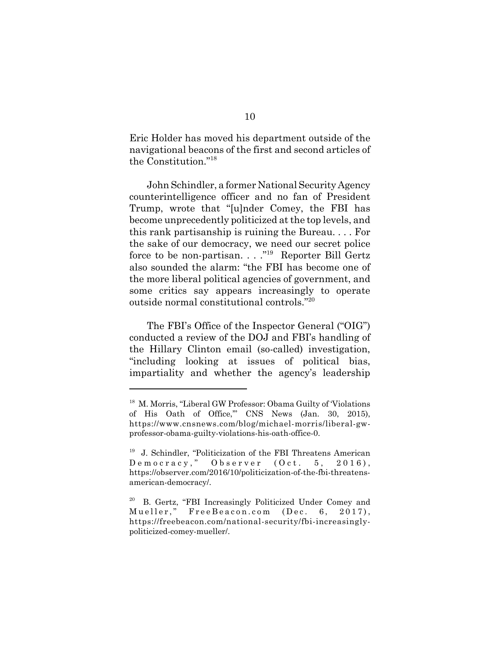Eric Holder has moved his department outside of the navigational beacons of the first and second articles of the Constitution."18

John Schindler, a former National Security Agency counterintelligence officer and no fan of President Trump, wrote that "[u]nder Comey, the FBI has become unprecedently politicized at the top levels, and this rank partisanship is ruining the Bureau. . . . For the sake of our democracy, we need our secret police force to be non-partisan...."<sup>19</sup> Reporter Bill Gertz also sounded the alarm: "the FBI has become one of the more liberal political agencies of government, and some critics say appears increasingly to operate outside normal constitutional controls."20

The FBI's Office of the Inspector General ("OIG") conducted a review of the DOJ and FBI's handling of the Hillary Clinton email (so-called) investigation, "including looking at issues of political bias, impartiality and whether the agency's leadership

<sup>18</sup> M. Morris, "Liberal GW Professor: Obama Guilty of 'Violations of His Oath of Office,'" CNS News (Jan. 30, 2015), https://www.cnsnews.com/blog/michael-morris/liberal-gwprofessor-obama-guilty-violations-his-oath-office-0.

<sup>&</sup>lt;sup>19</sup> J. Schindler, "Politicization of the FBI Threatens American Democracy," Observer (Oct. 5, 2016), https://observer.com/2016/10/politicization-of-the-fbi-threatensamerican-democracy/.

<sup>20</sup> B. Gertz, "FBI Increasingly Politicized Under Comey and Mueller," FreeBeacon.com (Dec. 6, 2017), https://freebeacon.com/national-security/fbi-increasinglypoliticized-comey-mueller/.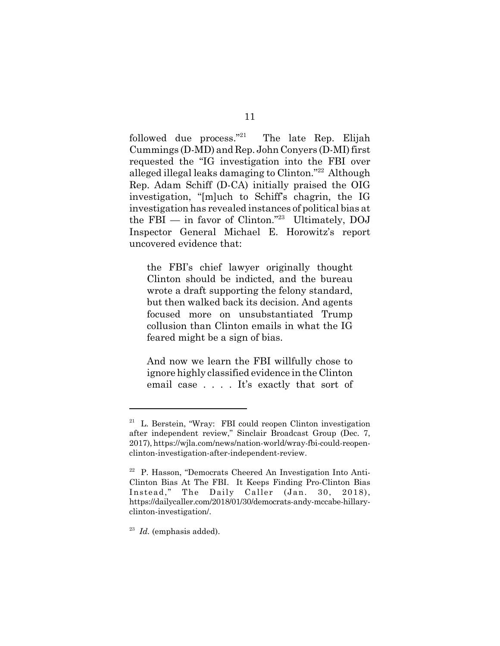followed due process."<sup>21</sup> The late Rep. Elijah Cummings (D-MD) and Rep. John Conyers (D-MI) first requested the "IG investigation into the FBI over alleged illegal leaks damaging to Clinton."22 Although Rep. Adam Schiff (D-CA) initially praised the OIG investigation, "[m]uch to Schiff's chagrin, the IG investigation has revealed instances of political bias at the FBI — in favor of Clinton."23 Ultimately, DOJ Inspector General Michael E. Horowitz's report uncovered evidence that:

the FBI's chief lawyer originally thought Clinton should be indicted, and the bureau wrote a draft supporting the felony standard, but then walked back its decision. And agents focused more on unsubstantiated Trump collusion than Clinton emails in what the IG feared might be a sign of bias.

And now we learn the FBI willfully chose to ignore highly classified evidence in the Clinton email case . . . . It's exactly that sort of

 $21$  L. Berstein, "Wray: FBI could reopen Clinton investigation after independent review," Sinclair Broadcast Group (Dec. 7, 2017), https://wjla.com/news/nation-world/wray-fbi-could-reopenclinton-investigation-after-independent-review.

<sup>22</sup> P. Hasson, "Democrats Cheered An Investigation Into Anti-Clinton Bias At The FBI. It Keeps Finding Pro-Clinton Bias Instead," The Daily Caller (Jan. 30, 2018), https://dailycaller.com/2018/01/30/democrats-andy-mccabe-hillaryclinton-investigation/.

<sup>23</sup> *Id.* (emphasis added).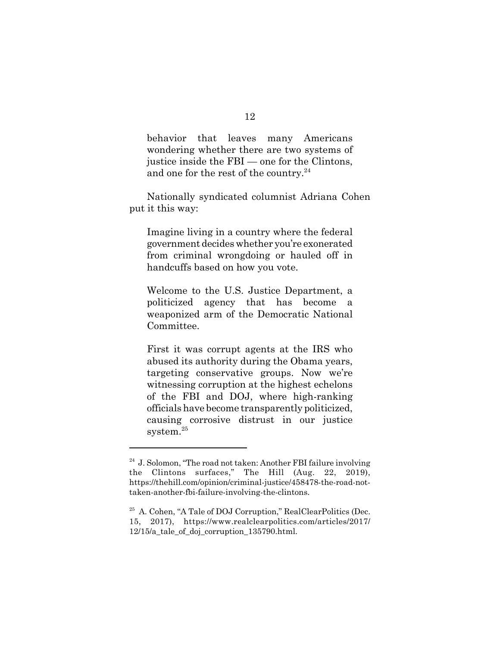behavior that leaves many Americans wondering whether there are two systems of justice inside the FBI — one for the Clintons, and one for the rest of the country. $^{24}$ 

Nationally syndicated columnist Adriana Cohen put it this way:

Imagine living in a country where the federal government decides whether you're exonerated from criminal wrongdoing or hauled off in handcuffs based on how you vote.

Welcome to the U.S. Justice Department, a politicized agency that has become a weaponized arm of the Democratic National Committee.

First it was corrupt agents at the IRS who abused its authority during the Obama years, targeting conservative groups. Now we're witnessing corruption at the highest echelons of the FBI and DOJ, where high-ranking officials have become transparently politicized, causing corrosive distrust in our justice system.<sup>25</sup>

 $24$  J. Solomon, "The road not taken: Another FBI failure involving the Clintons surfaces," The Hill (Aug. 22, 2019), https://thehill.com/opinion/criminal-justice/458478-the-road-nottaken-another-fbi-failure-involving-the-clintons.

<sup>25</sup> A. Cohen, "A Tale of DOJ Corruption," RealClearPolitics (Dec. 15, 2017), https://www.realclearpolitics.com/articles/2017/ 12/15/a\_tale\_of\_doj\_corruption\_135790.html.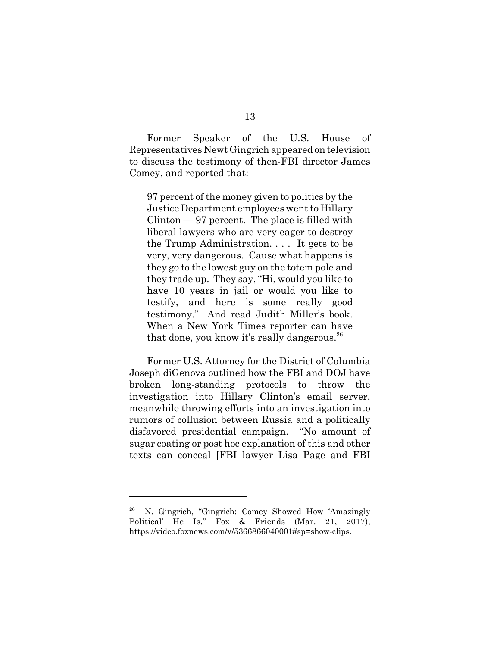Former Speaker of the U.S. House of Representatives Newt Gingrich appeared on television to discuss the testimony of then-FBI director James Comey, and reported that:

97 percent of the money given to politics by the Justice Department employees went to Hillary Clinton — 97 percent. The place is filled with liberal lawyers who are very eager to destroy the Trump Administration. . . . It gets to be very, very dangerous. Cause what happens is they go to the lowest guy on the totem pole and they trade up. They say, "Hi, would you like to have 10 years in jail or would you like to testify, and here is some really good testimony." And read Judith Miller's book. When a New York Times reporter can have that done, you know it's really dangerous.<sup>26</sup>

Former U.S. Attorney for the District of Columbia Joseph diGenova outlined how the FBI and DOJ have broken long-standing protocols to throw the investigation into Hillary Clinton's email server, meanwhile throwing efforts into an investigation into rumors of collusion between Russia and a politically disfavored presidential campaign. "No amount of sugar coating or post hoc explanation of this and other texts can conceal [FBI lawyer Lisa Page and FBI

<sup>26</sup> N. Gingrich, "Gingrich: Comey Showed How 'Amazingly Political' He Is," Fox & Friends (Mar. 21, 2017), https://video.foxnews.com/v/5366866040001#sp=show-clips.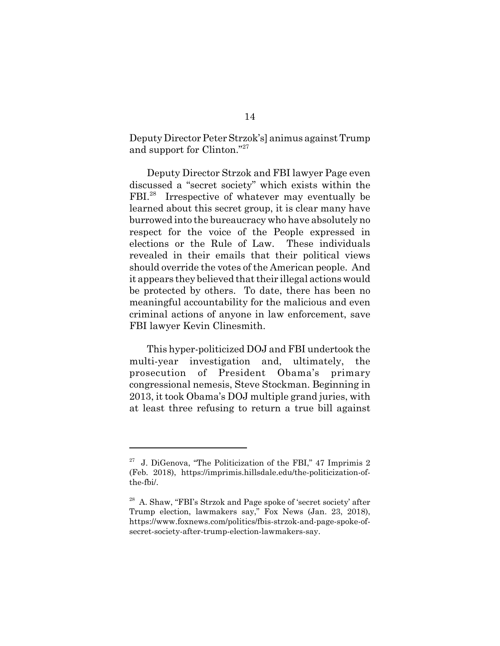Deputy Director Peter Strzok's] animus against Trump and support for Clinton."27

Deputy Director Strzok and FBI lawyer Page even discussed a "secret society" which exists within the FBI.<sup>28</sup> Irrespective of whatever may eventually be learned about this secret group, it is clear many have burrowed into the bureaucracy who have absolutely no respect for the voice of the People expressed in elections or the Rule of Law. These individuals revealed in their emails that their political views should override the votes of the American people. And it appears they believed that their illegal actions would be protected by others. To date, there has been no meaningful accountability for the malicious and even criminal actions of anyone in law enforcement, save FBI lawyer Kevin Clinesmith.

This hyper-politicized DOJ and FBI undertook the multi-year investigation and, ultimately, the prosecution of President Obama's primary congressional nemesis, Steve Stockman. Beginning in 2013, it took Obama's DOJ multiple grand juries, with at least three refusing to return a true bill against

 $27$  J. DiGenova, "The Politicization of the FBI," 47 Imprimis 2 (Feb. 2018), https://imprimis.hillsdale.edu/the-politicization-ofthe-fbi/.

<sup>28</sup> A. Shaw, "FBI's Strzok and Page spoke of 'secret society' after Trump election, lawmakers say," Fox News (Jan. 23, 2018), https://www.foxnews.com/politics/fbis-strzok-and-page-spoke-ofsecret-society-after-trump-election-lawmakers-say.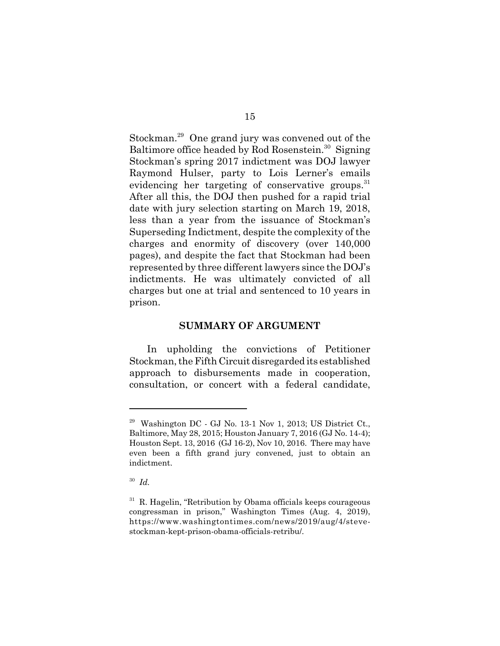Stockman.29 One grand jury was convened out of the Baltimore office headed by Rod Rosenstein.<sup>30</sup> Signing Stockman's spring 2017 indictment was DOJ lawyer Raymond Hulser, party to Lois Lerner's emails evidencing her targeting of conservative groups. $31$ After all this, the DOJ then pushed for a rapid trial date with jury selection starting on March 19, 2018, less than a year from the issuance of Stockman's Superseding Indictment, despite the complexity of the charges and enormity of discovery (over 140,000 pages), and despite the fact that Stockman had been represented by three different lawyers since the DOJ's indictments. He was ultimately convicted of all charges but one at trial and sentenced to 10 years in prison.

#### **SUMMARY OF ARGUMENT**

In upholding the convictions of Petitioner Stockman, the Fifth Circuit disregarded its established approach to disbursements made in cooperation, consultation, or concert with a federal candidate,

 $29$  Washington DC - GJ No. 13-1 Nov 1, 2013; US District Ct., Baltimore, May 28, 2015; Houston January 7, 2016 (GJ No. 14-4); Houston Sept. 13, 2016 (GJ 16-2), Nov 10, 2016. There may have even been a fifth grand jury convened, just to obtain an indictment.

<sup>30</sup> *Id.*

 $31$  R. Hagelin, "Retribution by Obama officials keeps courageous congressman in prison," Washington Times (Aug. 4, 2019), https://www.washingtontimes.com/news/2019/aug/4/stevestockman-kept-prison-obama-officials-retribu/.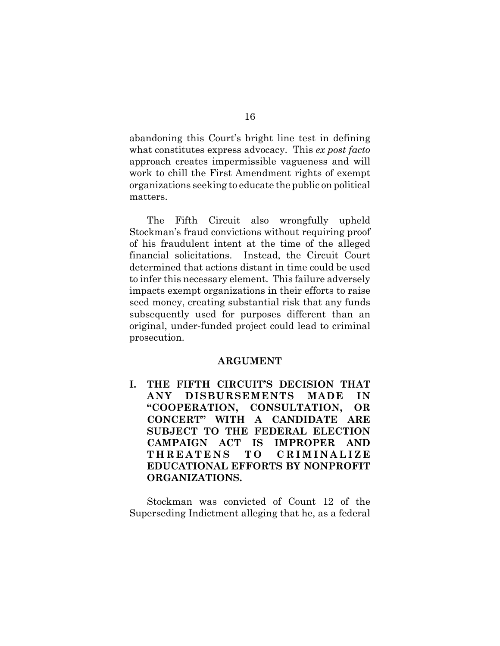abandoning this Court's bright line test in defining what constitutes express advocacy. This *ex post facto* approach creates impermissible vagueness and will work to chill the First Amendment rights of exempt organizations seeking to educate the public on political matters.

The Fifth Circuit also wrongfully upheld Stockman's fraud convictions without requiring proof of his fraudulent intent at the time of the alleged financial solicitations. Instead, the Circuit Court determined that actions distant in time could be used to infer this necessary element. This failure adversely impacts exempt organizations in their efforts to raise seed money, creating substantial risk that any funds subsequently used for purposes different than an original, under-funded project could lead to criminal prosecution.

#### **ARGUMENT**

**I. THE FIFTH CIRCUIT'S DECISION THAT ANY DISBURSEMENTS MADE IN "COOPERATION, CONSULTATION, OR CONCERT" WITH A CANDIDATE ARE SUBJECT TO THE FEDERAL ELECTION CAMPAIGN ACT IS IMPROPER AND THREATENS TO CRIMINALIZE EDUCATIONAL EFFORTS BY NONPROFIT ORGANIZATIONS.**

Stockman was convicted of Count 12 of the Superseding Indictment alleging that he, as a federal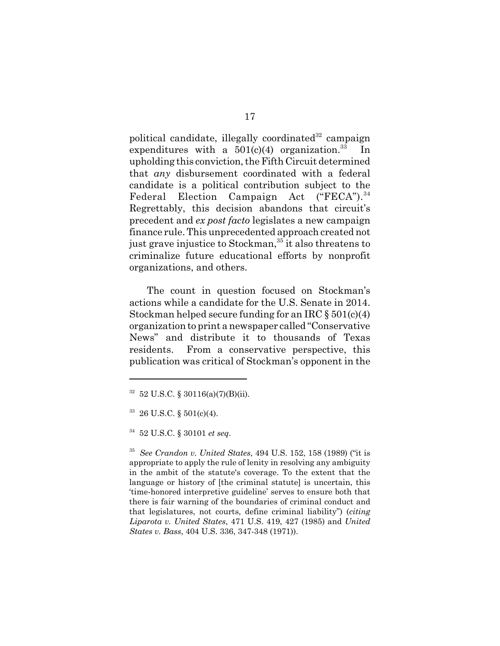political candidate, illegally coordinated $32$  campaign expenditures with a  $501(c)(4)$  organization.<sup>33</sup> upholding this conviction, the Fifth Circuit determined that *any* disbursement coordinated with a federal candidate is a political contribution subject to the Federal Election Campaign Act ("FECA").<sup>34</sup> Regrettably, this decision abandons that circuit's precedent and *ex post facto* legislates a new campaign finance rule. This unprecedented approach created not just grave injustice to Stockman,<sup>35</sup> it also threatens to criminalize future educational efforts by nonprofit organizations, and others.

The count in question focused on Stockman's actions while a candidate for the U.S. Senate in 2014. Stockman helped secure funding for an IRC  $\S 501(c)(4)$ organization to print a newspaper called "Conservative News" and distribute it to thousands of Texas residents. From a conservative perspective, this publication was critical of Stockman's opponent in the

 $32$  52 U.S.C. § 30116(a)(7)(B)(ii).

<sup>33 26</sup> U.S.C. § 501(c)(4).

<sup>34 52</sup> U.S.C. § 30101 *et seq*.

<sup>35</sup> *See Crandon v. United States*, 494 U.S. 152, 158 (1989) ("it is appropriate to apply the rule of lenity in resolving any ambiguity in the ambit of the statute's coverage. To the extent that the language or history of [the criminal statute] is uncertain, this 'time-honored interpretive guideline' serves to ensure both that there is fair warning of the boundaries of criminal conduct and that legislatures, not courts, define criminal liability") (*citing Liparota v. United States*, 471 U.S. 419, 427 (1985) and *United States v. Bass*, 404 U.S. 336, 347-348 (1971)).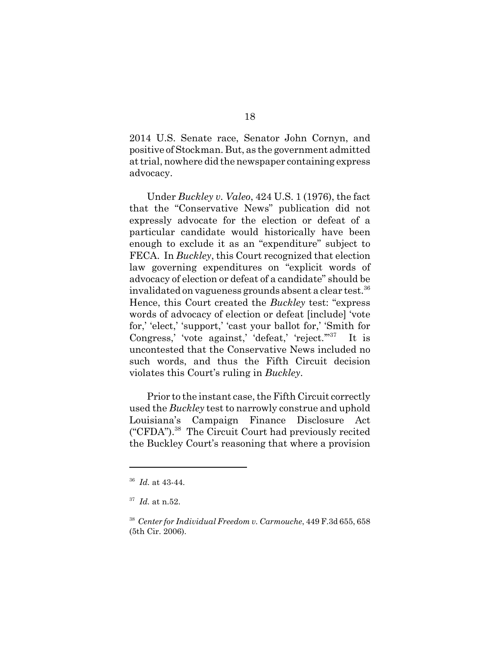2014 U.S. Senate race, Senator John Cornyn, and positive of Stockman. But, as the government admitted at trial, nowhere did the newspaper containing express advocacy.

Under *Buckley v. Valeo*, 424 U.S. 1 (1976), the fact that the "Conservative News" publication did not expressly advocate for the election or defeat of a particular candidate would historically have been enough to exclude it as an "expenditure" subject to FECA. In *Buckley*, this Court recognized that election law governing expenditures on "explicit words of advocacy of election or defeat of a candidate" should be invalidated on vagueness grounds absent a clear test.<sup>36</sup> Hence, this Court created the *Buckley* test: "express words of advocacy of election or defeat [include] 'vote for,' 'elect,' 'support,' 'cast your ballot for,' 'Smith for Congress,' 'vote against,' 'defeat,' 'reject.'"<sup>37</sup> It is uncontested that the Conservative News included no such words, and thus the Fifth Circuit decision violates this Court's ruling in *Buckley*.

Prior to the instant case, the Fifth Circuit correctly used the *Buckley* test to narrowly construe and uphold Louisiana's Campaign Finance Disclosure Act ("CFDA").38 The Circuit Court had previously recited the Buckley Court's reasoning that where a provision

<sup>36</sup> *Id.* at 43-44.

<sup>37</sup> *Id.* at n.52.

<sup>38</sup> *Center for Individual Freedom v. Carmouche*, 449 F.3d 655, 658 (5th Cir. 2006).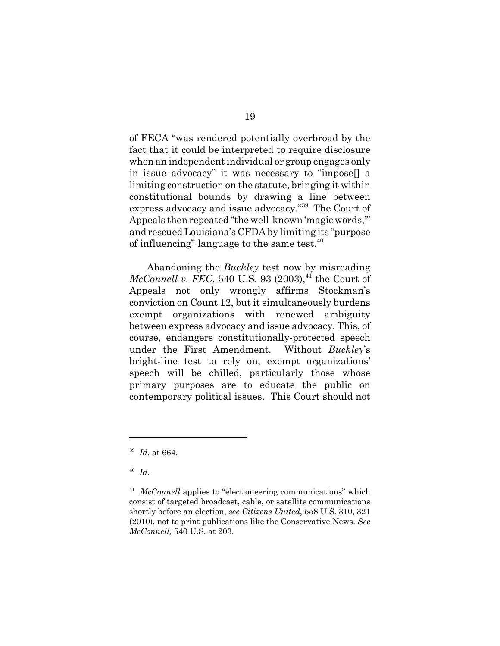of FECA "was rendered potentially overbroad by the fact that it could be interpreted to require disclosure when an independent individual or group engages only in issue advocacy" it was necessary to "impose[] a limiting construction on the statute, bringing it within constitutional bounds by drawing a line between express advocacy and issue advocacy."39 The Court of Appeals then repeated "the well-known 'magic words,'" and rescued Louisiana's CFDA by limiting its "purpose of influencing" language to the same test.  $40^{\circ}$ 

Abandoning the *Buckley* test now by misreading *McConnell v. FEC*, 540 U.S. 93  $(2003)$ ,<sup>41</sup> the Court of Appeals not only wrongly affirms Stockman's conviction on Count 12, but it simultaneously burdens exempt organizations with renewed ambiguity between express advocacy and issue advocacy. This, of course, endangers constitutionally-protected speech under the First Amendment. Without *Buckley*'s bright-line test to rely on, exempt organizations' speech will be chilled, particularly those whose primary purposes are to educate the public on contemporary political issues. This Court should not

<sup>39</sup> *Id.* at 664.

<sup>40</sup> *Id.*

<sup>&</sup>lt;sup>41</sup> *McConnell* applies to "electioneering communications" which consist of targeted broadcast, cable, or satellite communications shortly before an election, *see Citizens United*, 558 U.S. 310, 321 (2010), not to print publications like the Conservative News. *See McConnell,* 540 U.S. at 203.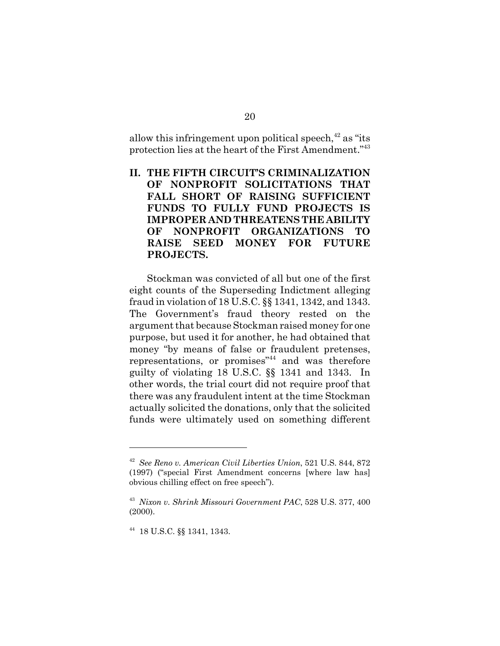allow this infringement upon political speech, $42$  as "its protection lies at the heart of the First Amendment."43

**II. THE FIFTH CIRCUIT'S CRIMINALIZATION OF NONPROFIT SOLICITATIONS THAT FALL SHORT OF RAISING SUFFICIENT FUNDS TO FULLY FUND PROJECTS IS IMPROPER AND THREATENS THE ABILITY OF NONPROFIT ORGANIZATIONS TO RAISE SEED MONEY FOR FUTURE PROJECTS.**

Stockman was convicted of all but one of the first eight counts of the Superseding Indictment alleging fraud in violation of 18 U.S.C. §§ 1341, 1342, and 1343. The Government's fraud theory rested on the argument that because Stockman raised money for one purpose, but used it for another, he had obtained that money "by means of false or fraudulent pretenses, representations, or promises"44 and was therefore guilty of violating 18 U.S.C. §§ 1341 and 1343. In other words, the trial court did not require proof that there was any fraudulent intent at the time Stockman actually solicited the donations, only that the solicited funds were ultimately used on something different

<sup>42</sup> *See Reno v. American Civil Liberties Union*, 521 U.S. 844, 872 (1997) ("special First Amendment concerns [where law has] obvious chilling effect on free speech").

<sup>43</sup> *Nixon v. Shrink Missouri Government PAC*, 528 U.S. 377, 400 (2000).

<sup>44 18</sup> U.S.C. §§ 1341, 1343.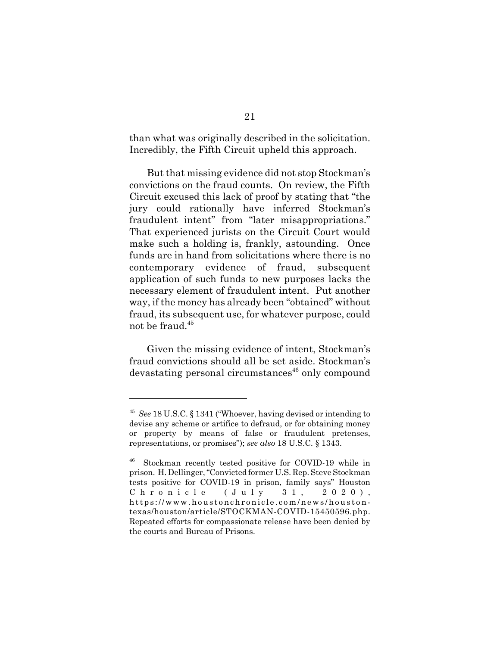than what was originally described in the solicitation. Incredibly, the Fifth Circuit upheld this approach.

But that missing evidence did not stop Stockman's convictions on the fraud counts. On review, the Fifth Circuit excused this lack of proof by stating that "the jury could rationally have inferred Stockman's fraudulent intent" from "later misappropriations." That experienced jurists on the Circuit Court would make such a holding is, frankly, astounding. Once funds are in hand from solicitations where there is no contemporary evidence of fraud, subsequent application of such funds to new purposes lacks the necessary element of fraudulent intent. Put another way, if the money has already been "obtained" without fraud, its subsequent use, for whatever purpose, could not be fraud.<sup>45</sup>

Given the missing evidence of intent, Stockman's fraud convictions should all be set aside. Stockman's devastating personal circumstances<sup>46</sup> only compound

<sup>45</sup> *See* 18 U.S.C. § 1341 ("Whoever, having devised or intending to devise any scheme or artifice to defraud, or for obtaining money or property by means of false or fraudulent pretenses, representations, or promises"); *see also* 18 U.S.C. § 1343.

<sup>46</sup> Stockman recently tested positive for COVID-19 while in prison. H. Dellinger, "Convicted former U.S. Rep. Steve Stockman tests positive for COVID-19 in prison, family says" Houston Chronicle (July 31, 2020), https://www.houstonchronicle.com/news/houstontexas/houston/article/STOCKMAN-COVID-15450596.php. Repeated efforts for compassionate release have been denied by the courts and Bureau of Prisons.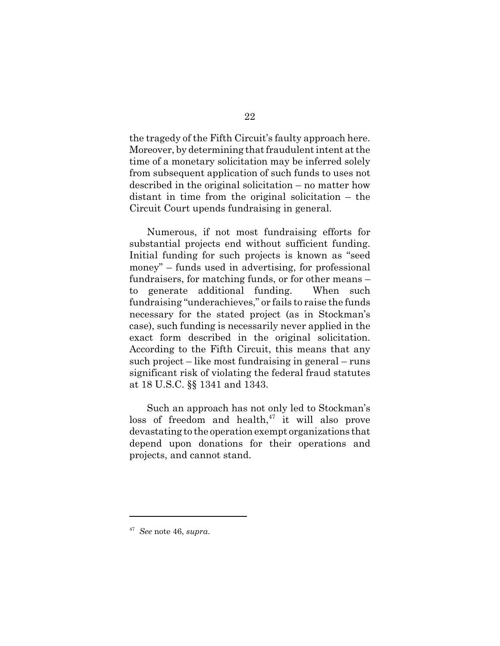the tragedy of the Fifth Circuit's faulty approach here. Moreover, by determining that fraudulent intent at the time of a monetary solicitation may be inferred solely from subsequent application of such funds to uses not described in the original solicitation – no matter how distant in time from the original solicitation – the Circuit Court upends fundraising in general.

Numerous, if not most fundraising efforts for substantial projects end without sufficient funding. Initial funding for such projects is known as "seed money" – funds used in advertising, for professional fundraisers, for matching funds, or for other means – to generate additional funding. When such fundraising "underachieves," or fails to raise the funds necessary for the stated project (as in Stockman's case), such funding is necessarily never applied in the exact form described in the original solicitation. According to the Fifth Circuit, this means that any such project – like most fundraising in general – runs significant risk of violating the federal fraud statutes at 18 U.S.C. §§ 1341 and 1343.

Such an approach has not only led to Stockman's loss of freedom and health, $47$  it will also prove devastating to the operation exempt organizations that depend upon donations for their operations and projects, and cannot stand.

<sup>47</sup> *See* note 46, *supra*.